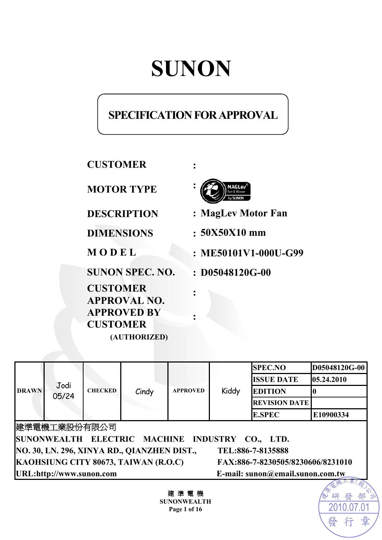# **SUNON**

# **SPECIFICATION FOR APPROVAL**

**CUSTOMER :** 

**MOTOR TYPE :**

**SUNON SPEC. NO. : D05048120G-00** 

**CUSTOMER APPROVAL NO. APPROVED BY CUSTOMER (AUTHORIZED)** 



**DESCRIPTION : MagLev Motor Fan** 

**DIMENSIONS : 50X50X10 mm** 

**M O D E L : ME50101V1-000U-G99** 

| <b>DRAWN</b>                                                     | Jodi<br>05/24            | <b>CHECKED</b> | Cindy                             | <b>APPROVED</b> | Kiddy | <b>SPEC.NO</b>                   | D05048120G-00 |
|------------------------------------------------------------------|--------------------------|----------------|-----------------------------------|-----------------|-------|----------------------------------|---------------|
|                                                                  |                          |                |                                   |                 |       | <b>ISSUE DATE</b>                | 05.24.2010    |
|                                                                  |                          |                |                                   |                 |       | <b>EDITION</b>                   |               |
|                                                                  |                          |                |                                   |                 |       | <b>REVISION DATE</b>             |               |
|                                                                  |                          |                |                                   |                 |       | <b>E.SPEC</b>                    | E10900334     |
| 建準電機工業股份有限公司                                                     |                          |                |                                   |                 |       |                                  |               |
| SUNONWEALTH ELECTRIC MACHINE INDUSTRY CO., LTD.                  |                          |                |                                   |                 |       |                                  |               |
| NO. 30, LN. 296, XINYA RD., QIANZHEN DIST.,<br>TEL:886-7-8135888 |                          |                |                                   |                 |       |                                  |               |
| KAOHSIUNG CITY 80673, TAIWAN (R.O.C)                             |                          |                | FAX:886-7-8230505/8230606/8231010 |                 |       |                                  |               |
|                                                                  | URL:http://www.sunon.com |                |                                   |                 |       | E-mail: sunon@email.sunon.com.tw |               |
|                                                                  |                          |                |                                   |                 |       |                                  |               |

**:** 

**:** 

建 準 電 機 **SUNONWEALTH Page 1 of 16**

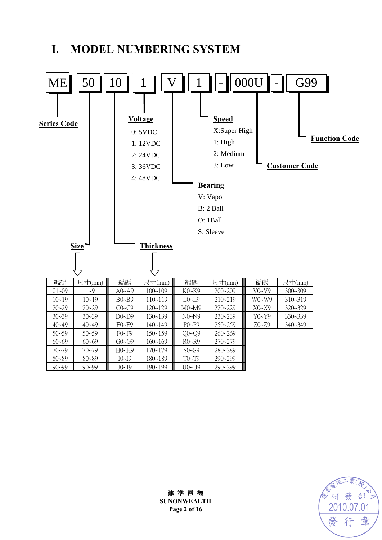# **I. MODEL NUMBERING SYSTEM**





建 準 電 機 **SUNONWEALTH Page 2 of 16**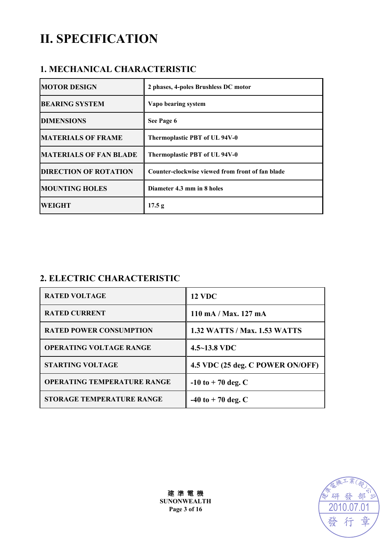# **II. SPECIFICATION**

## **1. MECHANICAL CHARACTERISTIC**

| <b>MOTOR DESIGN</b>           | 2 phases, 4-poles Brushless DC motor             |
|-------------------------------|--------------------------------------------------|
| <b>BEARING SYSTEM</b>         | Vapo bearing system                              |
| <b>DIMENSIONS</b>             | See Page 6                                       |
| <b>MATERIALS OF FRAME</b>     | Thermoplastic PBT of UL 94V-0                    |
| <b>MATERIALS OF FAN BLADE</b> | Thermoplastic PBT of UL 94V-0                    |
| <b>DIRECTION OF ROTATION</b>  | Counter-clockwise viewed from front of fan blade |
| <b>MOUNTING HOLES</b>         | Diameter 4.3 mm in 8 holes                       |
| <b>WEIGHT</b>                 | 17.5 g                                           |

## **2. ELECTRIC CHARACTERISTIC**

| <b>RATED VOLTAGE</b>               | <b>12 VDC</b>                       |
|------------------------------------|-------------------------------------|
| <b>RATED CURRENT</b>               | $110$ mA / Max. $127$ mA            |
| <b>RATED POWER CONSUMPTION</b>     | <b>1.32 WATTS / Max. 1.53 WATTS</b> |
| <b>OPERATING VOLTAGE RANGE</b>     | $4.5 - 13.8$ VDC                    |
| <b>STARTING VOLTAGE</b>            | 4.5 VDC (25 deg. C POWER ON/OFF)    |
| <b>OPERATING TEMPERATURE RANGE</b> | $-10$ to $+70$ deg. C               |
| <b>STORAGE TEMPERATURE RANGE</b>   | $-40$ to $+70$ deg. C               |



建 準 電 機 **SUNONWEALTH Page 3 of 16**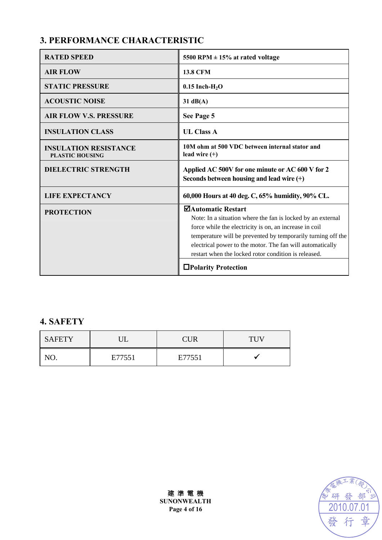# **3. PERFORMANCE CHARACTERISTIC**

| <b>RATED SPEED</b>                                     | 5500 RPM $\pm$ 15% at rated voltage                                                                                                                                                                                                                                                                                              |
|--------------------------------------------------------|----------------------------------------------------------------------------------------------------------------------------------------------------------------------------------------------------------------------------------------------------------------------------------------------------------------------------------|
| <b>AIR FLOW</b>                                        | <b>13.8 CFM</b>                                                                                                                                                                                                                                                                                                                  |
| <b>STATIC PRESSURE</b>                                 | $0.15$ Inch-H <sub>2</sub> O                                                                                                                                                                                                                                                                                                     |
| <b>ACOUSTIC NOISE</b>                                  | $31 \text{ dB}(A)$                                                                                                                                                                                                                                                                                                               |
| <b>AIR FLOW V.S. PRESSURE</b>                          | See Page 5                                                                                                                                                                                                                                                                                                                       |
| <b>INSULATION CLASS</b>                                | <b>UL Class A</b>                                                                                                                                                                                                                                                                                                                |
| <b>INSULATION RESISTANCE</b><br><b>PLASTIC HOUSING</b> | 10M ohm at 500 VDC between internal stator and<br>lead wire $(+)$                                                                                                                                                                                                                                                                |
| <b>DIELECTRIC STRENGTH</b>                             | Applied AC 500V for one minute or AC 600 V for 2<br>Seconds between housing and lead wire $(+)$                                                                                                                                                                                                                                  |
| <b>LIFE EXPECTANCY</b>                                 | 60,000 Hours at 40 deg. C, 65% humidity, 90% CL.                                                                                                                                                                                                                                                                                 |
| <b>PROTECTION</b>                                      | ⊠Automatic Restart<br>Note: In a situation where the fan is locked by an external<br>force while the electricity is on, an increase in coil<br>temperature will be prevented by temporarily turning off the<br>electrical power to the motor. The fan will automatically<br>restart when the locked rotor condition is released. |
|                                                        | □Polarity Protection                                                                                                                                                                                                                                                                                                             |

# **4. SAFETY**

| <b>SAFETY</b> |        | <b>CUR</b> | <b>TUV</b> |
|---------------|--------|------------|------------|
| Nſ            | E77551 | E77551     |            |

![](_page_3_Picture_4.jpeg)

建 準 電 機 **SUNONWEALTH Page 4 of 16**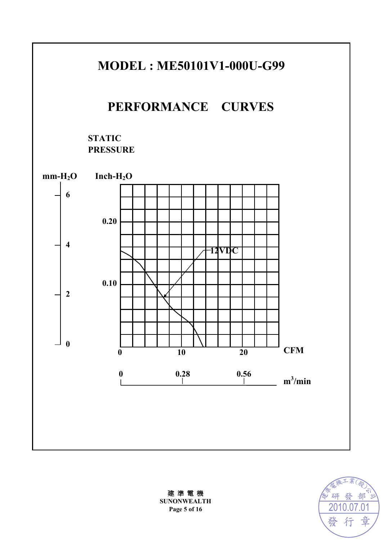# **MODEL : ME50101V1-000U-G99 PERFORMANCE CURVES STATIC PRESSURE**   $mm-H<sub>2</sub>O$  Inch-H<sub>2</sub>O **6 0.20 4 12VDC 0.10 2 0 CFM 0 10 20 0 0.28 0.56**  $m^3$ /min  $\mathbf{I}$

![](_page_4_Picture_1.jpeg)

建 準 電 機 **SUNONWEALTH Page 5 of 16**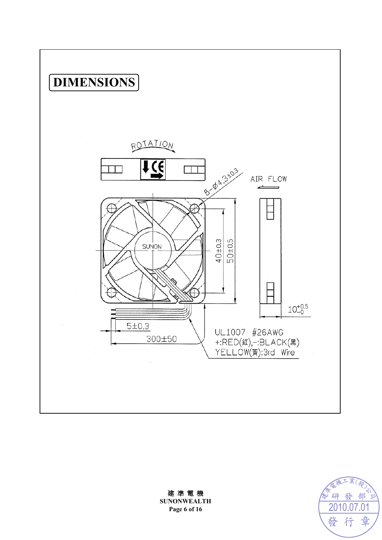![](_page_5_Figure_0.jpeg)

![](_page_5_Picture_1.jpeg)

建 準 電 機 **SUNONWEALTH Page 6 of 16**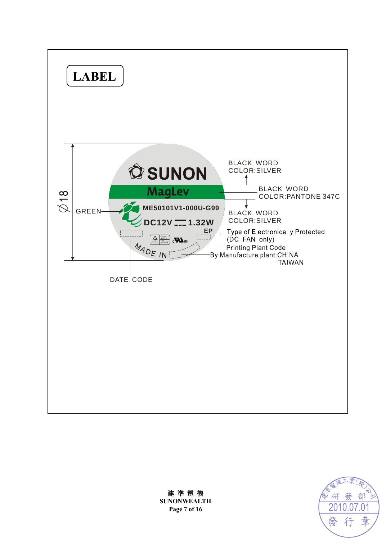![](_page_6_Figure_0.jpeg)

![](_page_6_Picture_1.jpeg)

建 準 電 機 **SUNONWEALTH Page 7 of 16**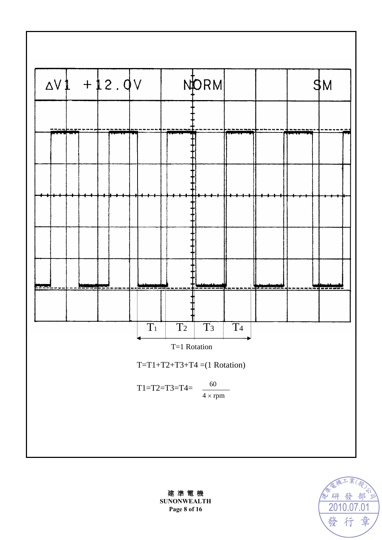![](_page_7_Figure_0.jpeg)

![](_page_7_Picture_1.jpeg)

建 準 電 機 **SUNONWEALTH Page 8 of 16**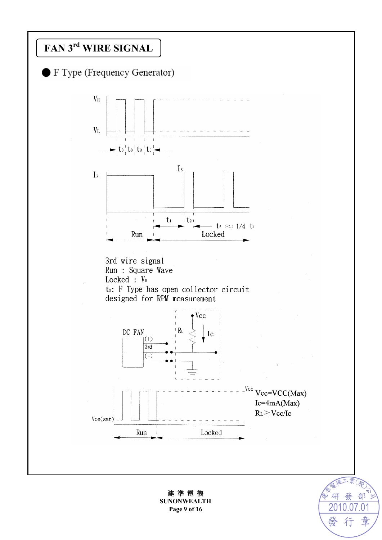![](_page_8_Figure_0.jpeg)

**SUNONWEALTH Page 9 of 16** 

20

發

行

部

荁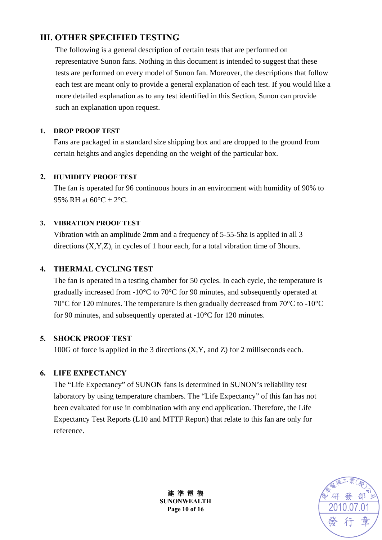## **III. OTHER SPECIFIED TESTING**

The following is a general description of certain tests that are performed on representative Sunon fans. Nothing in this document is intended to suggest that these tests are performed on every model of Sunon fan. Moreover, the descriptions that follow each test are meant only to provide a general explanation of each test. If you would like a more detailed explanation as to any test identified in this Section, Sunon can provide such an explanation upon request.

#### **1. DROP PROOF TEST**

Fans are packaged in a standard size shipping box and are dropped to the ground from certain heights and angles depending on the weight of the particular box.

#### **2. HUMIDITY PROOF TEST**

The fan is operated for 96 continuous hours in an environment with humidity of 90% to 95% RH at  $60^{\circ}$ C  $\pm$  2°C.

#### **3. VIBRATION PROOF TEST**

Vibration with an amplitude 2mm and a frequency of 5-55-5hz is applied in all 3 directions (X,Y,Z), in cycles of 1 hour each, for a total vibration time of 3hours.

#### **4. THERMAL CYCLING TEST**

The fan is operated in a testing chamber for 50 cycles. In each cycle, the temperature is gradually increased from -10°C to 70°C for 90 minutes, and subsequently operated at 70°C for 120 minutes. The temperature is then gradually decreased from 70°C to -10°C for 90 minutes, and subsequently operated at -10°C for 120 minutes.

#### **5. SHOCK PROOF TEST**

100G of force is applied in the 3 directions (X,Y, and Z) for 2 milliseconds each.

#### **6. LIFE EXPECTANCY**

The "Life Expectancy" of SUNON fans is determined in SUNON's reliability test laboratory by using temperature chambers. The "Life Expectancy" of this fan has not been evaluated for use in combination with any end application. Therefore, the Life Expectancy Test Reports (L10 and MTTF Report) that relate to this fan are only for reference.

![](_page_9_Picture_14.jpeg)

建 準 電 機 **SUNONWEALTH Page 10 of 16**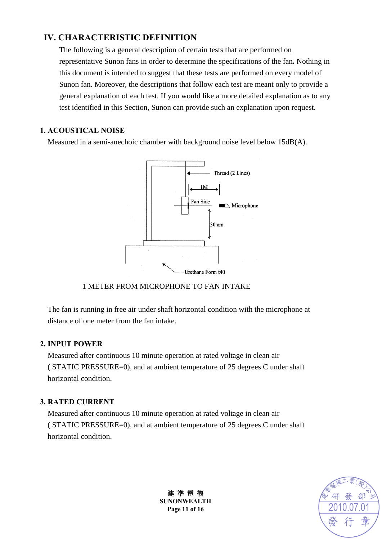## **IV. CHARACTERISTIC DEFINITION**

The following is a general description of certain tests that are performed on representative Sunon fans in order to determine the specifications of the fan**.** Nothing in this document is intended to suggest that these tests are performed on every model of Sunon fan. Moreover, the descriptions that follow each test are meant only to provide a general explanation of each test. If you would like a more detailed explanation as to any test identified in this Section, Sunon can provide such an explanation upon request.

#### **1. ACOUSTICAL NOISE**

Measured in a semi-anechoic chamber with background noise level below 15dB(A).

![](_page_10_Figure_4.jpeg)

#### 1 METER FROM MICROPHONE TO FAN INTAKE

The fan is running in free air under shaft horizontal condition with the microphone at distance of one meter from the fan intake.

#### **2. INPUT POWER**

Measured after continuous 10 minute operation at rated voltage in clean air ( STATIC PRESSURE=0), and at ambient temperature of 25 degrees C under shaft horizontal condition.

#### **3. RATED CURRENT**

Measured after continuous 10 minute operation at rated voltage in clean air ( STATIC PRESSURE=0), and at ambient temperature of 25 degrees C under shaft horizontal condition.

![](_page_10_Picture_11.jpeg)

建 準 電 機 **SUNONWEALTH Page 11 of 16**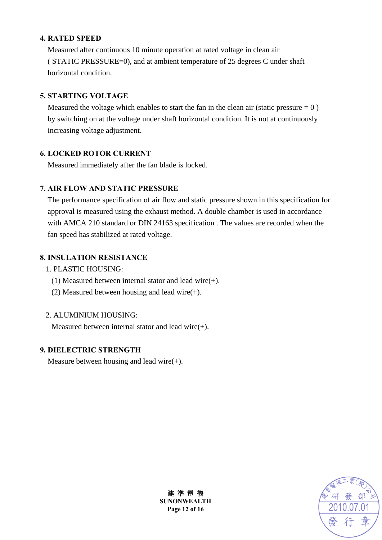#### **4. RATED SPEED**

Measured after continuous 10 minute operation at rated voltage in clean air ( STATIC PRESSURE=0), and at ambient temperature of 25 degrees C under shaft horizontal condition.

#### **5. STARTING VOLTAGE**

Measured the voltage which enables to start the fan in the clean air (static pressure  $= 0$ ) by switching on at the voltage under shaft horizontal condition. It is not at continuously increasing voltage adjustment.

#### **6. LOCKED ROTOR CURRENT**

Measured immediately after the fan blade is locked.

#### **7. AIR FLOW AND STATIC PRESSURE**

The performance specification of air flow and static pressure shown in this specification for approval is measured using the exhaust method. A double chamber is used in accordance with AMCA 210 standard or DIN 24163 specification . The values are recorded when the fan speed has stabilized at rated voltage.

#### **8. INSULATION RESISTANCE**

- 1. PLASTIC HOUSING:
	- (1) Measured between internal stator and lead wire(+).
	- (2) Measured between housing and lead wire $(+)$ .

#### 2. ALUMINIUM HOUSING:

Measured between internal stator and lead wire(+).

#### **9. DIELECTRIC STRENGTH**

Measure between housing and lead wire $(+)$ .

![](_page_11_Picture_16.jpeg)

建 準 電 機 **SUNONWEALTH Page 12 of 16**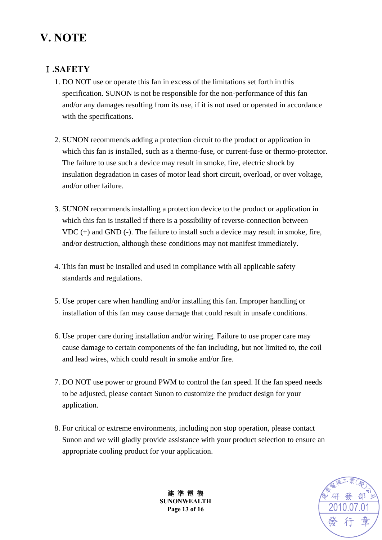# **V. NOTE**

# Ⅰ**.SAFETY**

- 1. DO NOT use or operate this fan in excess of the limitations set forth in this specification. SUNON is not be responsible for the non-performance of this fan and/or any damages resulting from its use, if it is not used or operated in accordance with the specifications.
- 2. SUNON recommends adding a protection circuit to the product or application in which this fan is installed, such as a thermo-fuse, or current-fuse or thermo-protector. The failure to use such a device may result in smoke, fire, electric shock by insulation degradation in cases of motor lead short circuit, overload, or over voltage, and/or other failure.
- 3. SUNON recommends installing a protection device to the product or application in which this fan is installed if there is a possibility of reverse-connection between VDC (+) and GND (-). The failure to install such a device may result in smoke, fire, and/or destruction, although these conditions may not manifest immediately.
- 4. This fan must be installed and used in compliance with all applicable safety standards and regulations.
- 5. Use proper care when handling and/or installing this fan. Improper handling or installation of this fan may cause damage that could result in unsafe conditions.
- 6. Use proper care during installation and/or wiring. Failure to use proper care may cause damage to certain components of the fan including, but not limited to, the coil and lead wires, which could result in smoke and/or fire.
- 7. DO NOT use power or ground PWM to control the fan speed. If the fan speed needs to be adjusted, please contact Sunon to customize the product design for your application.
- 8. For critical or extreme environments, including non stop operation, please contact Sunon and we will gladly provide assistance with your product selection to ensure an appropriate cooling product for your application.

![](_page_12_Picture_10.jpeg)

建 準 電 機 **SUNONWEALTH Page 13 of 16**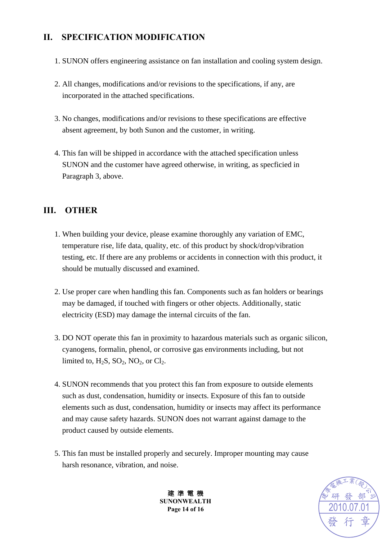# **II. SPECIFICATION MODIFICATION**

- 1. SUNON offers engineering assistance on fan installation and cooling system design.
- 2. All changes, modifications and/or revisions to the specifications, if any, are incorporated in the attached specifications.
- 3. No changes, modifications and/or revisions to these specifications are effective absent agreement, by both Sunon and the customer, in writing.
- 4. This fan will be shipped in accordance with the attached specification unless SUNON and the customer have agreed otherwise, in writing, as specficied in Paragraph 3, above.

### **III. OTHER**

- 1. When building your device, please examine thoroughly any variation of EMC, temperature rise, life data, quality, etc. of this product by shock/drop/vibration testing, etc. If there are any problems or accidents in connection with this product, it should be mutually discussed and examined.
- 2. Use proper care when handling this fan. Components such as fan holders or bearings may be damaged, if touched with fingers or other objects. Additionally, static electricity (ESD) may damage the internal circuits of the fan.
- 3. DO NOT operate this fan in proximity to hazardous materials such as organic silicon, cyanogens, formalin, phenol, or corrosive gas environments including, but not limited to,  $H_2S$ ,  $SO_2$ ,  $NO_2$ , or  $Cl_2$ .
- 4. SUNON recommends that you protect this fan from exposure to outside elements such as dust, condensation, humidity or insects. Exposure of this fan to outside elements such as dust, condensation, humidity or insects may affect its performance and may cause safety hazards. SUNON does not warrant against damage to the product caused by outside elements.
- 5. This fan must be installed properly and securely. Improper mounting may cause harsh resonance, vibration, and noise.

![](_page_13_Picture_11.jpeg)

建 準 電 機 **SUNONWEALTH Page 14 of 16**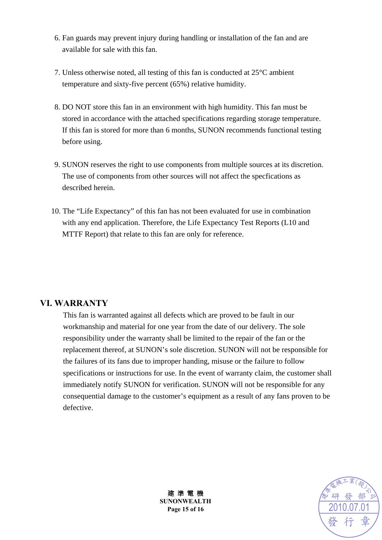- 6. Fan guards may prevent injury during handling or installation of the fan and are available for sale with this fan.
- 7. Unless otherwise noted, all testing of this fan is conducted at 25°C ambient temperature and sixty-five percent (65%) relative humidity.
- 8. DO NOT store this fan in an environment with high humidity. This fan must be stored in accordance with the attached specifications regarding storage temperature. If this fan is stored for more than 6 months, SUNON recommends functional testing before using.
- 9. SUNON reserves the right to use components from multiple sources at its discretion. The use of components from other sources will not affect the specfications as described herein.
- 10. The "Life Expectancy" of this fan has not been evaluated for use in combination with any end application. Therefore, the Life Expectancy Test Reports (L10 and MTTF Report) that relate to this fan are only for reference.

#### **VI. WARRANTY**

This fan is warranted against all defects which are proved to be fault in our workmanship and material for one year from the date of our delivery. The sole responsibility under the warranty shall be limited to the repair of the fan or the replacement thereof, at SUNON's sole discretion. SUNON will not be responsible for the failures of its fans due to improper handing, misuse or the failure to follow specifications or instructions for use. In the event of warranty claim, the customer shall immediately notify SUNON for verification. SUNON will not be responsible for any consequential damage to the customer's equipment as a result of any fans proven to be defective.

![](_page_14_Picture_7.jpeg)

建 準 電 機 **SUNONWEALTH Page 15 of 16**